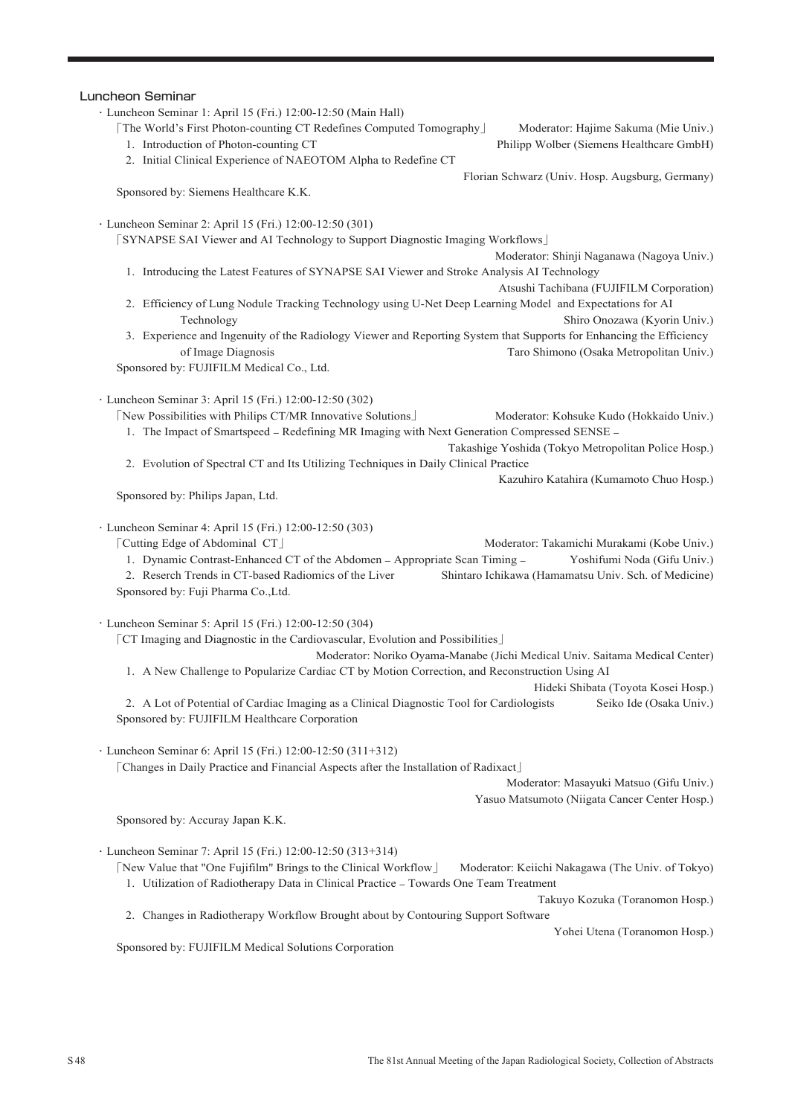## Luncheon Seminar

- ・Luncheon Seminar 1: April 15 (Fri.) 12:00-12:50 (Main Hall)
	- 「The World's First Photon-counting CT Redefines Computed Tomography」 Moderator: Hajime Sakuma (Mie Univ.)
		-

1. Introduction of Photon-counting CT Philipp Wolber (Siemens Healthcare GmbH)

2. Initial Clinical Experience of NAEOTOM Alpha to Redefine CT

Sponsored by: Siemens Healthcare K.K.

Florian Schwarz (Univ. Hosp. Augsburg, Germany)

・Luncheon Seminar 2: April 15 (Fri.) 12:00-12:50 (301)

「SYNAPSE SAI Viewer and AI Technology to Support Diagnostic Imaging Workflows」

- Moderator: Shinji Naganawa (Nagoya Univ.)
- 1. Introducing the Latest Features of SYNAPSE SAI Viewer and Stroke Analysis AI Technology Atsushi Tachibana (FUJIFILM Corporation)
- 2. Efficiency of Lung Nodule Tracking Technology using U-Net Deep Learning Model and Expectations for AI Technology Shiro Onozawa (Kyorin Univ.)
- 3. Experience and Ingenuity of the Radiology Viewer and Reporting System that Supports for Enhancing the Efficiency of Image Diagnosis Taro Shimono (Osaka Metropolitan Univ.)

Sponsored by: FUJIFILM Medical Co., Ltd.

## ・Luncheon Seminar 3: April 15 (Fri.) 12:00-12:50 (302)

「New Possibilities with Philips CT/MR Innovative Solutions」 Moderator: Kohsuke Kudo (Hokkaido Univ.) 1. The Impact of Smartspeed – Redefining MR Imaging with Next Generation Compressed SENSE –

Takashige Yoshida (Tokyo Metropolitan Police Hosp.)

2. Evolution of Spectral CT and Its Utilizing Techniques in Daily Clinical Practice

Kazuhiro Katahira (Kumamoto Chuo Hosp.)

Sponsored by: Philips Japan, Ltd.

- ・Luncheon Seminar 4: April 15 (Fri.) 12:00-12:50 (303)
	- 「Cutting Edge of Abdominal CT」 Moderator: Takamichi Murakami (Kobe Univ.)
		- 1. Dynamic Contrast-Enhanced CT of the Abdomen Appropriate Scan Timing Yoshifumi Noda (Gifu Univ.)
	- 2. Reserch Trends in CT-based Radiomics of the Liver Shintaro Ichikawa (Hamamatsu Univ. Sch. of Medicine) Sponsored by: Fuji Pharma Co.,Ltd.
- ・Luncheon Seminar 5: April 15 (Fri.) 12:00-12:50 (304)
	- 「CT Imaging and Diagnostic in the Cardiovascular, Evolution and Possibilities」
		- Moderator: Noriko Oyama-Manabe (Jichi Medical Univ. Saitama Medical Center) 1. A New Challenge to Popularize Cardiac CT by Motion Correction, and Reconstruction Using AI

Hideki Shibata (Toyota Kosei Hosp.)

2. A Lot of Potential of Cardiac Imaging as a Clinical Diagnostic Tool for Cardiologists Seiko Ide (Osaka Univ.) Sponsored by: FUJIFILM Healthcare Corporation

・Luncheon Seminar 6: April 15 (Fri.) 12:00-12:50 (311+312)

「Changes in Daily Practice and Financial Aspects after the Installation of Radixact」

Moderator: Masayuki Matsuo (Gifu Univ.)

Yasuo Matsumoto (Niigata Cancer Center Hosp.)

Sponsored by: Accuray Japan K.K.

・Luncheon Seminar 7: April 15 (Fri.) 12:00-12:50 (313+314)

「New Value that "One Fujifilm" Brings to the Clinical Workflow」 Moderator: Keiichi Nakagawa (The Univ. of Tokyo) 1. Utilization of Radiotherapy Data in Clinical Practice – Towards One Team Treatment

Takuyo Kozuka (Toranomon Hosp.)

2. Changes in Radiotherapy Workflow Brought about by Contouring Support Software

Yohei Utena (Toranomon Hosp.)

Sponsored by: FUJIFILM Medical Solutions Corporation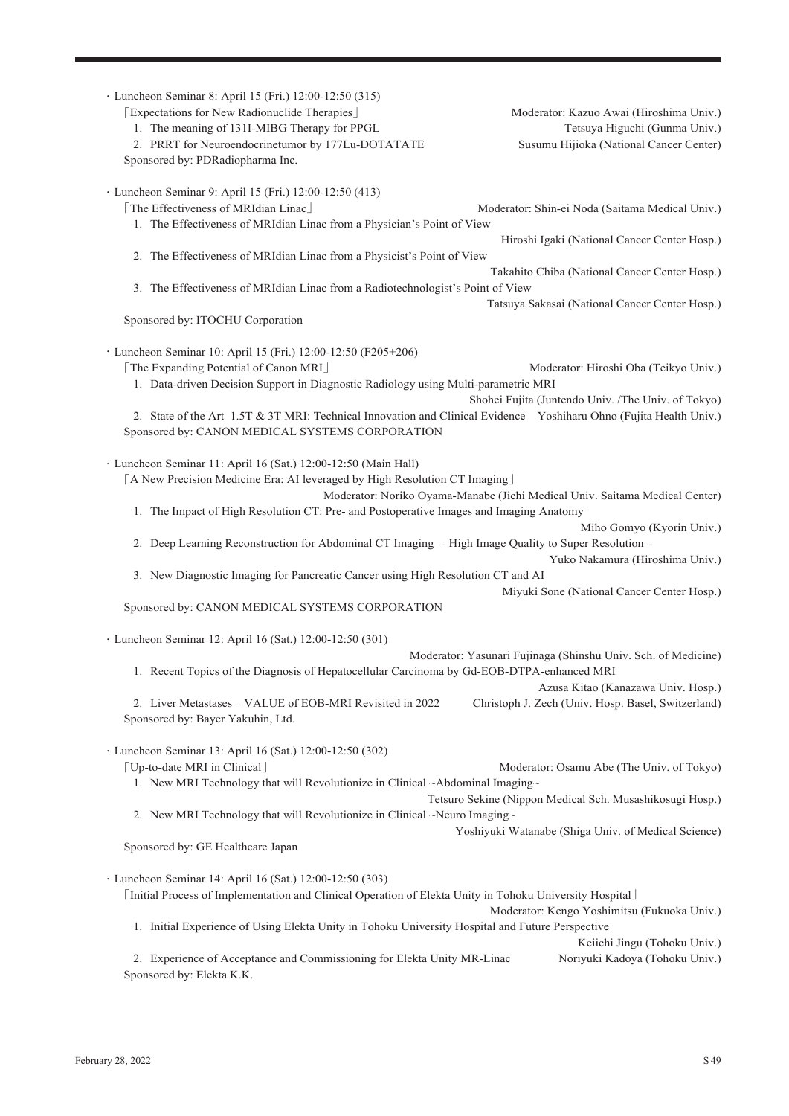| · Luncheon Seminar 8: April 15 (Fri.) 12:00-12:50 (315)<br>[Expectations for New Radionuclide Therapies]<br>1. The meaning of 131I-MIBG Therapy for PPGL<br>2. PRRT for Neuroendocrinetumor by 177Lu-DOTATATE<br>Sponsored by: PDRadiopharma Inc.                                                                                                                      | Moderator: Kazuo Awai (Hiroshima Univ.)<br>Tetsuya Higuchi (Gunma Univ.)<br>Susumu Hijioka (National Cancer Center) |
|------------------------------------------------------------------------------------------------------------------------------------------------------------------------------------------------------------------------------------------------------------------------------------------------------------------------------------------------------------------------|---------------------------------------------------------------------------------------------------------------------|
| · Luncheon Seminar 9: April 15 (Fri.) 12:00-12:50 (413)<br>[The Effectiveness of MRIdian Linac]<br>1. The Effectiveness of MRIdian Linac from a Physician's Point of View                                                                                                                                                                                              | Moderator: Shin-ei Noda (Saitama Medical Univ.)<br>Hiroshi Igaki (National Cancer Center Hosp.)                     |
| 2. The Effectiveness of MRIdian Linac from a Physicist's Point of View                                                                                                                                                                                                                                                                                                 |                                                                                                                     |
| 3. The Effectiveness of MRIdian Linac from a Radiotechnologist's Point of View                                                                                                                                                                                                                                                                                         | Takahito Chiba (National Cancer Center Hosp.)<br>Tatsuya Sakasai (National Cancer Center Hosp.)                     |
| Sponsored by: ITOCHU Corporation                                                                                                                                                                                                                                                                                                                                       |                                                                                                                     |
| · Luncheon Seminar 10: April 15 (Fri.) 12:00-12:50 (F205+206)<br>[The Expanding Potential of Canon MRI]<br>1. Data-driven Decision Support in Diagnostic Radiology using Multi-parametric MRI<br>2. State of the Art 1.5T & 3T MRI: Technical Innovation and Clinical Evidence Yoshiharu Ohno (Fujita Health Univ.)<br>Sponsored by: CANON MEDICAL SYSTEMS CORPORATION | Moderator: Hiroshi Oba (Teikyo Univ.)<br>Shohei Fujita (Juntendo Univ. /The Univ. of Tokyo)                         |
| · Luncheon Seminar 11: April 16 (Sat.) 12:00-12:50 (Main Hall)<br>[A New Precision Medicine Era: AI leveraged by High Resolution CT Imaging]                                                                                                                                                                                                                           | Moderator: Noriko Oyama-Manabe (Jichi Medical Univ. Saitama Medical Center)                                         |
| 1. The Impact of High Resolution CT: Pre- and Postoperative Images and Imaging Anatomy                                                                                                                                                                                                                                                                                 |                                                                                                                     |
| 2. Deep Learning Reconstruction for Abdominal CT Imaging - High Image Quality to Super Resolution -                                                                                                                                                                                                                                                                    | Miho Gomyo (Kyorin Univ.)<br>Yuko Nakamura (Hiroshima Univ.)                                                        |
| 3. New Diagnostic Imaging for Pancreatic Cancer using High Resolution CT and AI                                                                                                                                                                                                                                                                                        | Miyuki Sone (National Cancer Center Hosp.)                                                                          |
| Sponsored by: CANON MEDICAL SYSTEMS CORPORATION                                                                                                                                                                                                                                                                                                                        |                                                                                                                     |
| · Luncheon Seminar 12: April 16 (Sat.) 12:00-12:50 (301)                                                                                                                                                                                                                                                                                                               | Moderator: Yasunari Fujinaga (Shinshu Univ. Sch. of Medicine)                                                       |
| 1. Recent Topics of the Diagnosis of Hepatocellular Carcinoma by Gd-EOB-DTPA-enhanced MRI                                                                                                                                                                                                                                                                              | Azusa Kitao (Kanazawa Univ. Hosp.)                                                                                  |
| 2. Liver Metastases - VALUE of EOB-MRI Revisited in 2022<br>Sponsored by: Bayer Yakuhin, Ltd.                                                                                                                                                                                                                                                                          | Christoph J. Zech (Univ. Hosp. Basel, Switzerland)                                                                  |
| · Luncheon Seminar 13: April 16 (Sat.) 12:00-12:50 (302)<br>[Up-to-date MRI in Clinical]<br>1. New MRI Technology that will Revolutionize in Clinical ~Abdominal Imaging~                                                                                                                                                                                              | Moderator: Osamu Abe (The Univ. of Tokyo)                                                                           |
| 2. New MRI Technology that will Revolutionize in Clinical ~Neuro Imaging~                                                                                                                                                                                                                                                                                              | Tetsuro Sekine (Nippon Medical Sch. Musashikosugi Hosp.)                                                            |
| Sponsored by: GE Healthcare Japan                                                                                                                                                                                                                                                                                                                                      | Yoshiyuki Watanabe (Shiga Univ. of Medical Science)                                                                 |
| · Luncheon Seminar 14: April 16 (Sat.) 12:00-12:50 (303)<br>[Initial Process of Implementation and Clinical Operation of Elekta Unity in Tohoku University Hospital]<br>1. Initial Experience of Using Elekta Unity in Tohoku University Hospital and Future Perspective                                                                                               | Moderator: Kengo Yoshimitsu (Fukuoka Univ.)                                                                         |
| 2. Experience of Acceptance and Commissioning for Elekta Unity MR-Linac<br>Sponsored by: Elekta K.K.                                                                                                                                                                                                                                                                   | Keiichi Jingu (Tohoku Univ.)<br>Noriyuki Kadoya (Tohoku Univ.)                                                      |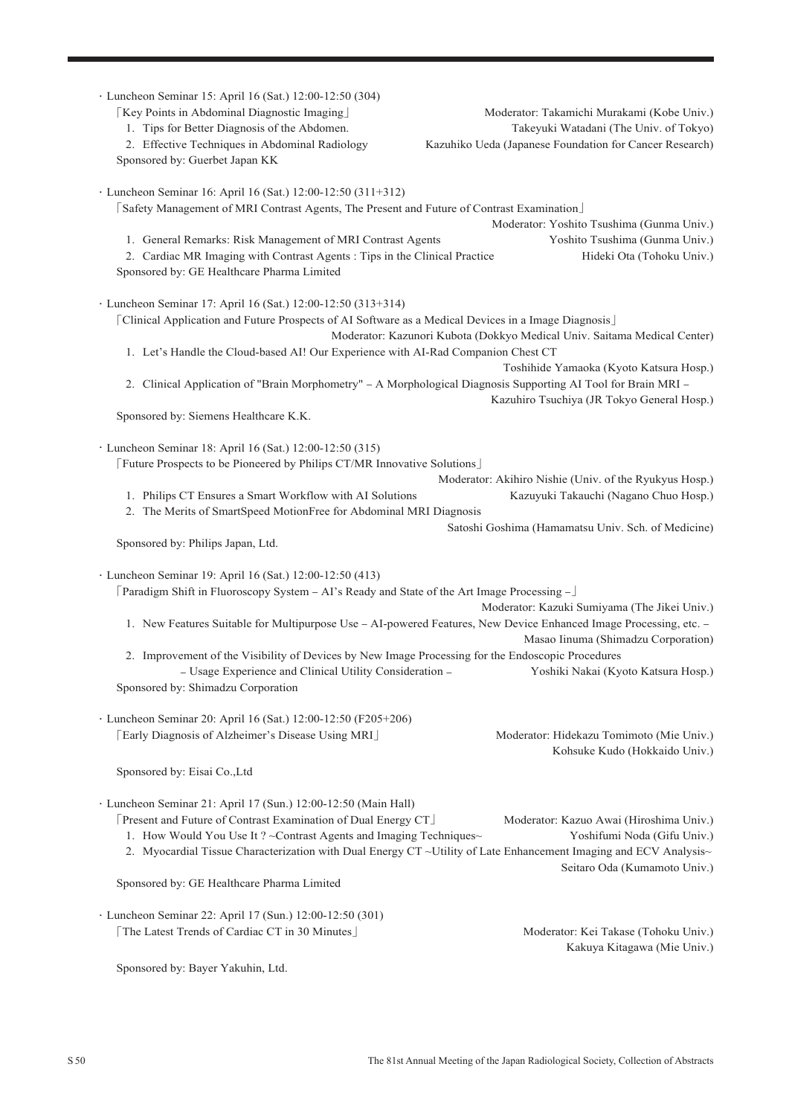| · Luncheon Seminar 15: April 16 (Sat.) 12:00-12:50 (304)<br>[Key Points in Abdominal Diagnostic Imaging]<br>1. Tips for Better Diagnosis of the Abdomen.<br>2. Effective Techniques in Abdominal Radiology<br>Sponsored by: Guerbet Japan KK                                                                                                                                                                        | Moderator: Takamichi Murakami (Kobe Univ.)<br>Takeyuki Watadani (The Univ. of Tokyo)<br>Kazuhiko Ueda (Japanese Foundation for Cancer Research)                                                                            |  |
|---------------------------------------------------------------------------------------------------------------------------------------------------------------------------------------------------------------------------------------------------------------------------------------------------------------------------------------------------------------------------------------------------------------------|----------------------------------------------------------------------------------------------------------------------------------------------------------------------------------------------------------------------------|--|
| · Luncheon Seminar 16: April 16 (Sat.) 12:00-12:50 (311+312)<br>[Safety Management of MRI Contrast Agents, The Present and Future of Contrast Examination]<br>1. General Remarks: Risk Management of MRI Contrast Agents<br>2. Cardiac MR Imaging with Contrast Agents : Tips in the Clinical Practice<br>Sponsored by: GE Healthcare Pharma Limited                                                                | Moderator: Yoshito Tsushima (Gunma Univ.)<br>Yoshito Tsushima (Gunma Univ.)<br>Hideki Ota (Tohoku Univ.)                                                                                                                   |  |
| · Luncheon Seminar 17: April 16 (Sat.) 12:00-12:50 (313+314)<br>[Clinical Application and Future Prospects of AI Software as a Medical Devices in a Image Diagnosis]<br>1. Let's Handle the Cloud-based AI! Our Experience with AI-Rad Companion Chest CT<br>2. Clinical Application of "Brain Morphometry" - A Morphological Diagnosis Supporting AI Tool for Brain MRI -<br>Sponsored by: Siemens Healthcare K.K. | Moderator: Kazunori Kubota (Dokkyo Medical Univ. Saitama Medical Center)<br>Toshihide Yamaoka (Kyoto Katsura Hosp.)<br>Kazuhiro Tsuchiya (JR Tokyo General Hosp.)                                                          |  |
| · Luncheon Seminar 18: April 16 (Sat.) 12:00-12:50 (315)<br>[Future Prospects to be Pioneered by Philips CT/MR Innovative Solutions]<br>1. Philips CT Ensures a Smart Workflow with AI Solutions<br>2. The Merits of SmartSpeed MotionFree for Abdominal MRI Diagnosis<br>Sponsored by: Philips Japan, Ltd.                                                                                                         | Moderator: Akihiro Nishie (Univ. of the Ryukyus Hosp.)<br>Kazuyuki Takauchi (Nagano Chuo Hosp.)<br>Satoshi Goshima (Hamamatsu Univ. Sch. of Medicine)                                                                      |  |
| · Luncheon Seminar 19: April 16 (Sat.) 12:00-12:50 (413)<br>[Paradigm Shift in Fluoroscopy System - AI's Ready and State of the Art Image Processing -<br>Moderator: Kazuki Sumiyama (The Jikei Univ.)<br>1. New Features Suitable for Multipurpose Use - AI-powered Features, New Device Enhanced Image Processing, etc. -<br>Masao Iinuma (Shimadzu Corporation)                                                  |                                                                                                                                                                                                                            |  |
| 2. Improvement of the Visibility of Devices by New Image Processing for the Endoscopic Procedures<br>- Usage Experience and Clinical Utility Consideration -<br>Sponsored by: Shimadzu Corporation                                                                                                                                                                                                                  | Yoshiki Nakai (Kyoto Katsura Hosp.)                                                                                                                                                                                        |  |
| · Luncheon Seminar 20: April 16 (Sat.) 12:00-12:50 (F205+206)<br>[Early Diagnosis of Alzheimer's Disease Using MRI]                                                                                                                                                                                                                                                                                                 | Moderator: Hidekazu Tomimoto (Mie Univ.)<br>Kohsuke Kudo (Hokkaido Univ.)                                                                                                                                                  |  |
| Sponsored by: Eisai Co., Ltd                                                                                                                                                                                                                                                                                                                                                                                        |                                                                                                                                                                                                                            |  |
| · Luncheon Seminar 21: April 17 (Sun.) 12:00-12:50 (Main Hall)<br>[Present and Future of Contrast Examination of Dual Energy CT]<br>1. How Would You Use It ? ~ Contrast Agents and Imaging Techniques~                                                                                                                                                                                                             | Moderator: Kazuo Awai (Hiroshima Univ.)<br>Yoshifumi Noda (Gifu Univ.)<br>2. Myocardial Tissue Characterization with Dual Energy CT ~Utility of Late Enhancement Imaging and ECV Analysis~<br>Seitaro Oda (Kumamoto Univ.) |  |
| Sponsored by: GE Healthcare Pharma Limited                                                                                                                                                                                                                                                                                                                                                                          |                                                                                                                                                                                                                            |  |
| · Luncheon Seminar 22: April 17 (Sun.) 12:00-12:50 (301)<br>The Latest Trends of Cardiac CT in 30 Minutes                                                                                                                                                                                                                                                                                                           | Moderator: Kei Takase (Tohoku Univ.)<br>Kakuya Kitagawa (Mie Univ.)                                                                                                                                                        |  |
| Sponsored by: Bayer Yakuhin, Ltd.                                                                                                                                                                                                                                                                                                                                                                                   |                                                                                                                                                                                                                            |  |